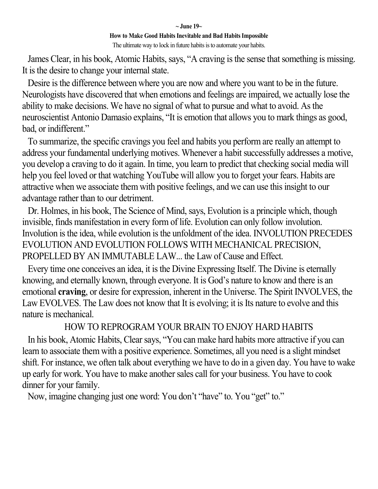#### **~ June 19~ How to Make Good Habits Inevitable and Bad Habits Impossible** The ultimate way to lock in future habits is to automate your habits.

James Clear, in his book, Atomic Habits, says, "A craving is the sense that something is missing. It is the desire to change your internal state.

Desire is the difference between where you are now and where you want to be in the future. Neurologists have discovered that when emotions and feelings are impaired, we actually lose the ability to make decisions. We have no signal of what to pursue and what to avoid. As the neuroscientist Antonio Damasio explains, "It is emotion that allows you to mark things as good, bad, or indifferent."

To summarize, the specific cravings you feel and habits you perform are really an attempt to address your fundamental underlying motives. Whenever a habit successfully addresses a motive, you develop a craving to do it again. In time, you learn to predict that checking social media will help you feel loved or that watching YouTube will allow you to forget your fears. Habits are attractive when we associate them with positive feelings, and we can use this insight to our advantage rather than to our detriment.

Dr. Holmes, in his book, The Science of Mind, says, Evolution is a principle which, though invisible, finds manifestation in every form of life. Evolution can only follow involution. Involution is the idea, while evolution is the unfoldment of the idea. INVOLUTION PRECEDES EVOLUTION AND EVOLUTION FOLLOWS WITH MECHANICAL PRECISION, PROPELLED BY AN IMMUTABLE LAW... the Law of Cause and Effect.

Every time one conceives an idea, it is the Divine Expressing Itself. The Divine is eternally knowing, and eternally known, through everyone. It is God's nature to know and there is an emotional **craving**, or desire for expression, inherent in the Universe. The Spirit INVOLVES, the Law EVOLVES. The Law does not know that It is evolving; it is Its nature to evolve and this nature is mechanical.

## HOW TO REPROGRAM YOUR BRAIN TO ENJOY HARD HABITS

In his book, Atomic Habits, Clear says, "You can make hard habits more attractive if you can learn to associate them with a positive experience. Sometimes, all you need is a slight mindset shift. For instance, we often talk about everything we have to do in a given day. You have to wake up early for work. You have to make another sales call for your business. You have to cook dinner for your family.

Now, imagine changing just one word: You don't "have" to. You "get" to."